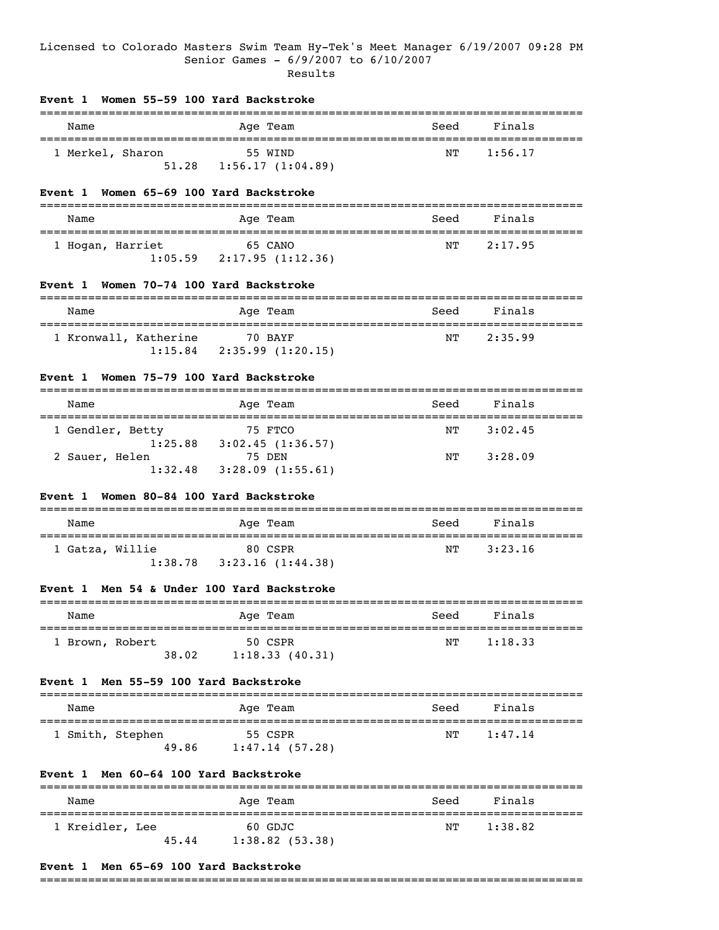# Licensed to Colorado Masters Swim Team Hy-Tek's Meet Manager 6/19/2007 09:28 PM Senior Games - 6/9/2007 to 6/10/2007 Results

#### **Event 1 Women 55-59 100 Yard Backstroke**

| Name             | Age Team         | Seed | Finals  |  |
|------------------|------------------|------|---------|--|
| 1 Merkel, Sharon | 55 WIND          | NТ   | 1:56.17 |  |
| 51.28            | 1:56.17(1:04.89) |      |         |  |

### **Event 1 Women 65-69 100 Yard Backstroke**

| Name             |         | Age Team |                             | Seed | Finals  |
|------------------|---------|----------|-----------------------------|------|---------|
| 1 Hogan, Harriet | 1:05.59 |          | 65 CANO<br>2:17.95(1:12.36) | NΤ   | 2:17.95 |

### **Event 1 Women 70-74 100 Yard Backstroke**

| Name                  |         | Age Team                     | Seed | Finals  |  |
|-----------------------|---------|------------------------------|------|---------|--|
| 1 Kronwall, Katherine | 1:15.84 | 70 BAYF<br>2:35.99 (1:20.15) | NT   | 2:35.99 |  |

# **Event 1 Women 75-79 100 Yard Backstroke**

| Name                        | Age Team                    | Seed | Finals  |  |
|-----------------------------|-----------------------------|------|---------|--|
| 1 Gendler, Betty<br>1:25.88 | 75 FTCO<br>3:02.45(1:36.57) | NТ   | 3:02.45 |  |
| 2 Sauer, Helen<br>1:32.48   | 75 DEN<br>3:28.09(1:55.61)  | NТ   | 3:28.09 |  |

### **Event 1 Women 80-84 100 Yard Backstroke**

| Name            | Age Team         | Seed | Finals  |  |
|-----------------|------------------|------|---------|--|
| 1 Gatza, Willie | 80 CSPR          | NТ   | 3:23.16 |  |
| 1:38.78         | 3:23.16(1:44.38) |      |         |  |

## **Event 1 Men 54 & Under 100 Yard Backstroke**

| Name            |       | Seed<br>Age Team | Finals        |
|-----------------|-------|------------------|---------------|
| 1 Brown, Robert |       | 50 CSPR          | 1:18.33<br>NТ |
|                 | 38.02 | 1:18.33(40.31)   |               |

#### **Event 1 Men 55-59 100 Yard Backstroke**

| Name             | Age Team       | Seed | Finals  |  |
|------------------|----------------|------|---------|--|
| 1 Smith, Stephen | 55 CSPR        | NͲ   | 1:47.14 |  |
| 49.86            | 1:47.14(57.28) |      |         |  |

# **Event 1 Men 60-64 100 Yard Backstroke**

| Name            | Age Team          | Seed | Finals  |  |
|-----------------|-------------------|------|---------|--|
| 1 Kreidler, Lee | 60 GDJC           | NТ   | 1:38.82 |  |
| 45.44           | $1:38.82$ (53.38) |      |         |  |

# **Event 1 Men 65-69 100 Yard Backstroke**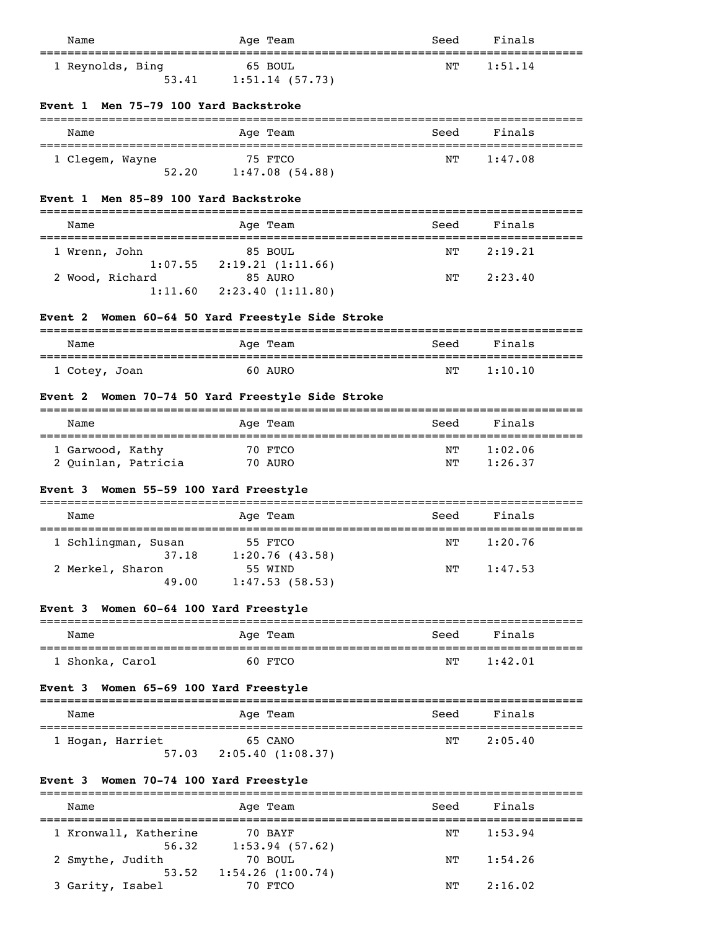| Name                                             | Age Team                                            | Seed | Finals              |
|--------------------------------------------------|-----------------------------------------------------|------|---------------------|
| 1 Reynolds, Bing<br>53.41                        | 65 BOUL<br>1:51.14(57.73)                           | NΤ   | 1:51.14             |
| Men 75-79 100 Yard Backstroke<br><b>Event</b> 1  |                                                     |      |                     |
| Name                                             | Age Team                                            | Seed | Finals              |
| 1 Clegem, Wayne                                  | 75 FTCO<br>52.20 1:47.08 (54.88)                    | NΤ   | 1:47.08             |
| Men 85-89 100 Yard Backstroke<br><b>Event</b> 1  |                                                     |      |                     |
| Name                                             | Age Team                                            | Seed | Finals              |
| 1 Wrenn, John                                    | 85 BOUL<br>$1:07.55$ $2:19.21$ $(1:11.66)$          | NΤ   | 2:19.21             |
| 2 Wood, Richard<br>1:11.60                       | 85 AURO<br>2:23.40(1:11.80)                         | NΤ   | 2:23.40             |
| <b>Event 2</b>                                   | Women 60-64 50 Yard Freestyle Side Stroke           |      |                     |
| Name                                             | Age Team                                            | Seed | Finals              |
| 1 Cotey, Joan                                    | 60 AURO                                             | NΤ   | 1:10.10             |
| <b>Event 2</b>                                   | Women 70-74 50 Yard Freestyle Side Stroke           |      |                     |
| Name                                             | Age Team                                            | Seed | Finals              |
| 1 Garwood, Kathy                                 | 70 FTCO                                             | NΤ   | 1:02.06             |
| 2 Quinlan, Patricia                              | 70 AURO                                             | ΝT   | 1:26.37             |
| Women 55-59 100 Yard Freestyle<br><b>Event 3</b> |                                                     |      |                     |
| Name                                             | Age Team                                            | Seed | Finals              |
| 1 Schlingman, Susan<br>37.18                     | 55 FTCO<br>1:20.76(43.58)                           | NΤ   | 1:20.76             |
| 2 Merkel, Sharon<br>49.00                        | 55 WIND<br>1:47.53(58.53)                           | NΤ   | 1:47.53             |
| Women 60-64 100 Yard Freestyle<br><b>Event 3</b> |                                                     |      |                     |
| Name                                             | Age Team                                            | Seed | Finals              |
| 1 Shonka, Carol                                  | 60 FTCO                                             | NΤ   | 1:42.01             |
| Women 65-69 100 Yard Freestyle<br><b>Event 3</b> |                                                     |      |                     |
| Name                                             | Age Team                                            | Seed | Finals              |
| 1 Hogan, Harriet                                 | 65 CANO<br>57.03 2:05.40 $(1:08.37)$                | NΤ   | 2:05.40             |
| Event 3 Women 70-74 100 Yard Freestyle           |                                                     |      |                     |
| Name                                             | Age Team<br>========================                | Seed | Finals<br>========= |
| 1 Kronwall, Katherine                            | 70 BAYF                                             | NΤ   | 1:53.94             |
| 56.32<br>2 Smythe, Judith<br>53.52               | 1:53.94 (57.62)<br>70 BOUL<br>$1:54.26$ $(1:00.74)$ | ΝT   | 1:54.26             |

3 Garity, Isabel 70 FTCO NT 2:16.02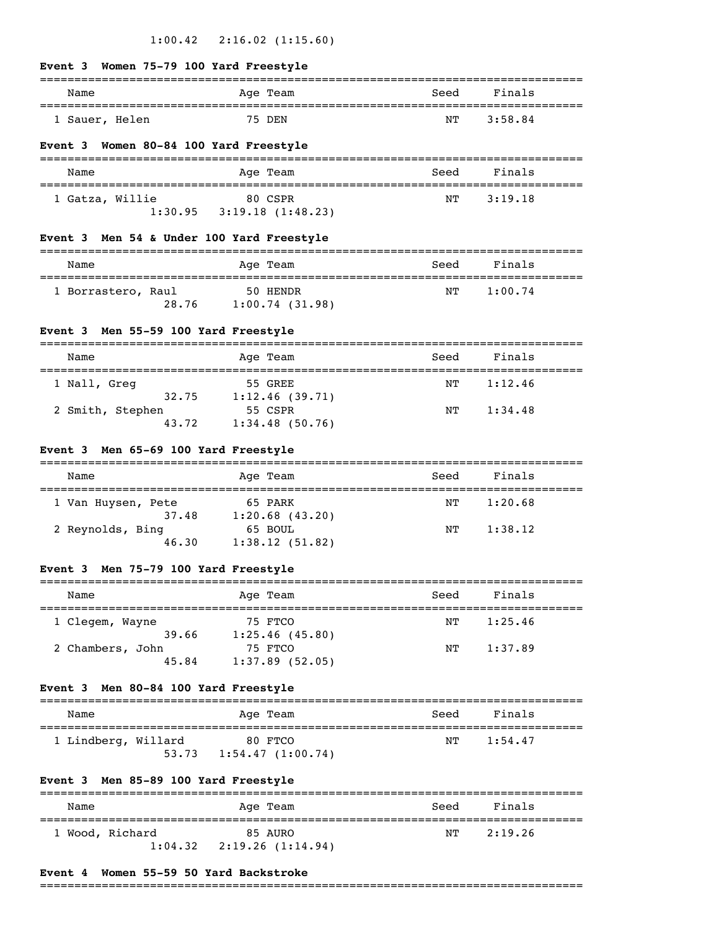# **Event 3 Women 75-79 100 Yard Freestyle**

| Name           |  | Age Team | Seed | Finals  |
|----------------|--|----------|------|---------|
| ' Sauer, Helen |  | 75 DEN   | NΤ   | 3:58.84 |

### **Event 3 Women 80-84 100 Yard Freestyle**

| Name            |         | Age Team         | Seed | Finals  |
|-----------------|---------|------------------|------|---------|
|                 |         |                  |      |         |
| 1 Gatza, Willie |         | 80 CSPR          | NТ   | 3:19.18 |
|                 | 1:30.95 | 3:19.18(1:48.23) |      |         |

# **Event 3 Men 54 & Under 100 Yard Freestyle**

| Name               |       | Age Team                   | Seed | Finals  |
|--------------------|-------|----------------------------|------|---------|
| 1 Borrastero, Raul | 28.76 | 50 HENDR<br>1:00.74(31.98) | NТ   | 1:00.74 |

### **Event 3 Men 55-59 100 Yard Freestyle**

| Name         |                  | Age Team       | Seed | Finals  |
|--------------|------------------|----------------|------|---------|
| 1 Nall, Greg |                  | 55 GREE        | NТ   | 1:12.46 |
|              | 32.75            | 1:12.46(39.71) |      |         |
|              | 2 Smith, Stephen | 55 CSPR        | NΤ   | 1:34.48 |
|              | 43.72            | 1:34.48(50.76) |      |         |

# **Event 3 Men 65-69 100 Yard Freestyle**

| Name               | Age Team          | Seed | Finals  |  |
|--------------------|-------------------|------|---------|--|
| 1 Van Huysen, Pete | 65 PARK           | NΤ   | 1:20.68 |  |
| 37.48              | $1:20.68$ (43.20) |      |         |  |
| 2 Reynolds, Bing   | 65 BOUL           | NТ   | 1:38.12 |  |
| 46.30              | 1:38.12(51.82)    |      |         |  |

# **Event 3 Men 75-79 100 Yard Freestyle**

| Name             | Age Team          | Seed | Finals  |
|------------------|-------------------|------|---------|
| 1 Clegem, Wayne  | 75 FTCO           | NТ   | 1:25.46 |
| 39.66            | 1:25.46(45.80)    |      |         |
| 2 Chambers, John | 75 FTCO           | NΤ   | 1:37.89 |
| 45.84            | $1:37.89$ (52.05) |      |         |

### **Event 3 Men 80-84 100 Yard Freestyle**

| Name                |       | Age Team                    | Seed | Finals  |  |
|---------------------|-------|-----------------------------|------|---------|--|
| 1 Lindberg, Willard | 53.73 | 80 FTCO<br>1:54.47(1:00.74) | NТ   | 1:54.47 |  |

# **Event 3 Men 85-89 100 Yard Freestyle**

| Name |                            | Age Team                     | Seed | Finals  |
|------|----------------------------|------------------------------|------|---------|
|      | 1 Wood, Richard<br>1:04.32 | 85 AURO<br>2:19.26 (1:14.94) | NТ   | 2:19.26 |

### **Event 4 Women 55-59 50 Yard Backstroke**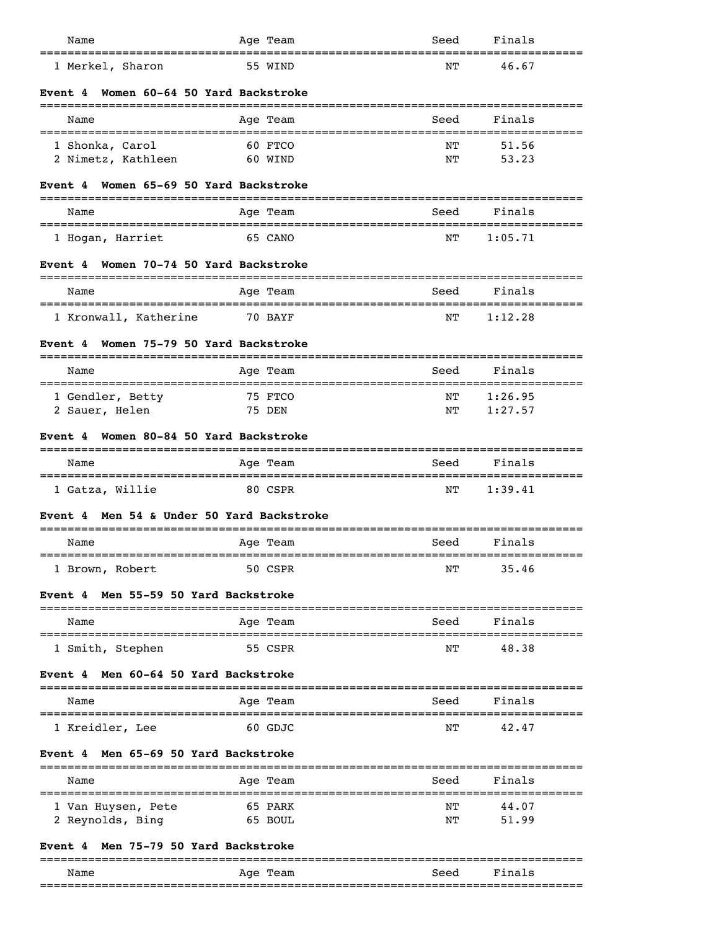| Name<br>===================================         | Age Team                               | Seed<br>==========                          | Finals              |
|-----------------------------------------------------|----------------------------------------|---------------------------------------------|---------------------|
| 1 Merkel, Sharon                                    | 55 WIND                                | NΤ                                          | 46.67               |
| Women 60-64 50 Yard Backstroke<br>Event 4           |                                        |                                             |                     |
| Name                                                | Age Team                               | Seed                                        | Finals              |
| 1 Shonka, Carol<br>2 Nimetz, Kathleen               | 60 FTCO<br>60 WIND                     | NΤ<br>ΝT                                    | 51.56<br>53.23      |
| Women 65-69 50 Yard Backstroke<br>Event 4           |                                        |                                             |                     |
| Name                                                | Age Team                               | Seed                                        | Finals              |
| 1 Hogan, Harriet                                    | 65 CANO                                | NΤ                                          | 1:05.71             |
| Event 4 Women 70-74 50 Yard Backstroke              |                                        |                                             |                     |
| Name<br>===============================             | Age Team                               | Seed<br>. _ _ _ _ _ _ _ _ _ _ _ _ _ _ _ _ _ | Finals<br>========= |
| 1 Kronwall, Katherine                               | 70 BAYF                                | NΤ                                          | 1:12.28             |
| Women 75-79 50 Yard Backstroke<br>Event 4           | --------------                         |                                             |                     |
| Name                                                | Age Team                               | Seed                                        | Finals              |
| 1 Gendler, Betty<br>2 Sauer, Helen                  | 75 FTCO<br>75 DEN                      | ΝT<br>NΤ                                    | 1:26.95<br>1:27.57  |
| Women 80-84 50 Yard Backstroke<br>Event 4           |                                        |                                             |                     |
| Name                                                | Age Team                               | Seed                                        | Finals              |
| 1 Gatza, Willie                                     | 80 CSPR                                | NΤ                                          | 1:39.41             |
| Men 54 & Under 50 Yard Backstroke<br><b>Event</b> 4 |                                        |                                             |                     |
| Name                                                | Age Team                               | Seed                                        | Finals              |
| 1 Brown, Robert                                     | 50 CSPR                                | NΤ                                          | 35.46               |
| Men 55-59 50 Yard Backstroke<br>Event 4             |                                        |                                             |                     |
| Name                                                | ==========================<br>Age Team | Seed                                        | Finals              |
| 1 Smith, Stephen                                    | 55 CSPR                                | ---------<br>NΤ                             | =========<br>48.38  |
| Men 60-64 50 Yard Backstroke<br>Event 4             |                                        |                                             |                     |
| Name                                                | Age Team                               | Seed                                        | Finals              |
| 1 Kreidler, Lee                                     | 60 GDJC                                | NΤ                                          | 42.47               |
| Men 65-69 50 Yard Backstroke<br>Event 4             |                                        |                                             |                     |
| Name                                                | Age Team                               | Seed                                        | Finals              |
| 1 Van Huysen, Pete<br>2 Reynolds, Bing              | 65 PARK<br>65 BOUL                     | NΤ<br>NΤ                                    | 44.07<br>51.99      |
| Event 4 Men 75-79 50 Yard Backstroke                |                                        |                                             |                     |

|      |             |      | ____<br>__________________ |  |  |
|------|-------------|------|----------------------------|--|--|
| Name | Team<br>Age | Seed | Finals                     |  |  |
|      |             |      |                            |  |  |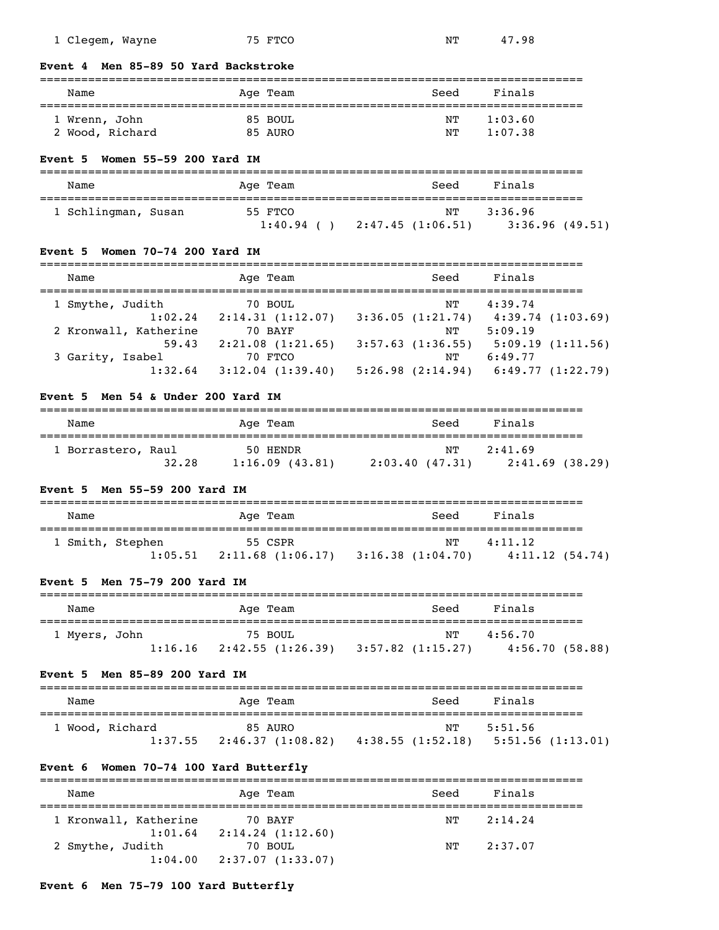| 1 Clegem, Wayne |  | 75 FTCO | NΤ | 47.98 |
|-----------------|--|---------|----|-------|

### **Event 4 Men 85-89 50 Yard Backstroke**

# =============================================================================== Name **Age Team** Age Team Seed Finals =============================================================================== 1 Wrenn, John 85 BOUL 1 Wrenn, John 85 BOUL 1:03.60<br>2 Wood, Richard 85 AURO 1:07.38 2 Wood, Richard 85 AURO

### **Event 5 Women 55-59 200 Yard IM**

| Name                | Age Team  | Seed             | Finals         |
|---------------------|-----------|------------------|----------------|
| 1 Schlingman, Susan | 55 FTCO   | NT               | 3:36.96        |
|                     | 1:40.94() | 2:47.45(1:06.51) | 3:36.96(49.51) |

### **Event 5 Women 70-74 200 Yard IM**

| Name                  | Age Team              | Seed                | Finals           |
|-----------------------|-----------------------|---------------------|------------------|
| 1 Smythe, Judith      | 70 BOUL               | NТ                  | 4:39.74          |
| 1:02.24               | 2:14.31(1:12.07)      | 3:36.05(1:21.74)    | 4:39.74(1:03.69) |
| 2 Kronwall, Katherine | 70 BAYF               | NΤ                  | 5:09.19          |
| 59.43                 | 2:21.08(1:21.65)      | $3:57.63$ (1:36.55) | 5:09.19(1:11.56) |
| 3 Garity, Isabel      | 70 FTCO               | NΤ                  | 6:49.77          |
| 1:32.64               | $3:12.04$ $(1:39.40)$ | 5:26.98(2:14.94)    | 6:49.77(1:22.79) |

### **Event 5 Men 54 & Under 200 Yard IM**

| Name               |       | Age Team                   |                | Seed | Finals                     |  |
|--------------------|-------|----------------------------|----------------|------|----------------------------|--|
| 1 Borrastero, Raul | 32.28 | 50 HENDR<br>1:16.09(43.81) | 2:03.40(47.31) | NТ   | 2:41.69<br>2:41.69 (38.29) |  |

# **Event 5 Men 55-59 200 Yard IM**

| Name             |  | Age Team                                                         | Seed | Finals                    |  |
|------------------|--|------------------------------------------------------------------|------|---------------------------|--|
| 1 Smith, Stephen |  | 55 CSPR<br>$1:05.51$ $2:11.68$ $(1:06.17)$ $3:16.38$ $(1:04.70)$ | NТ   | 4:11.12<br>4:11.12(54.74) |  |

# **Event 5 Men 75-79 200 Yard IM**

| Name          |         | Age Team                     | Seed                    | Finals                    |
|---------------|---------|------------------------------|-------------------------|---------------------------|
| 1 Myers, John | 1:16.16 | 75 BOUL<br>2:42.55 (1:26.39) | NТ<br>3:57.82 (1:15.27) | 4:56.70<br>4:56.70(58.88) |

### **Event 5 Men 85-89 200 Yard IM**

| Name |                            | Age Team                     | Seed                                       | Finals  |
|------|----------------------------|------------------------------|--------------------------------------------|---------|
|      | 1 Wood, Richard<br>1:37.55 | 85 AURO<br>2:46.37 (1:08.82) | NT<br>$4:38.55(1:52.18)$ 5:51.56 (1:13.01) | 5:51.56 |

# **Event 6 Women 70-74 100 Yard Butterfly**

| Name                                   | Age Team                    | Seed | Finals  |  |
|----------------------------------------|-----------------------------|------|---------|--|
| 1 Kronwall, Katherine                  | 70 BAYF                     | NТ   | 2:14.24 |  |
| 1:01.64<br>2 Smythe, Judith<br>1:04.00 | 2:14.24(1:12.60)<br>70 BOUL | NТ   | 2:37.07 |  |
|                                        | 2:37.07 (1:33.07)           |      |         |  |

# **Event 6 Men 75-79 100 Yard Butterfly**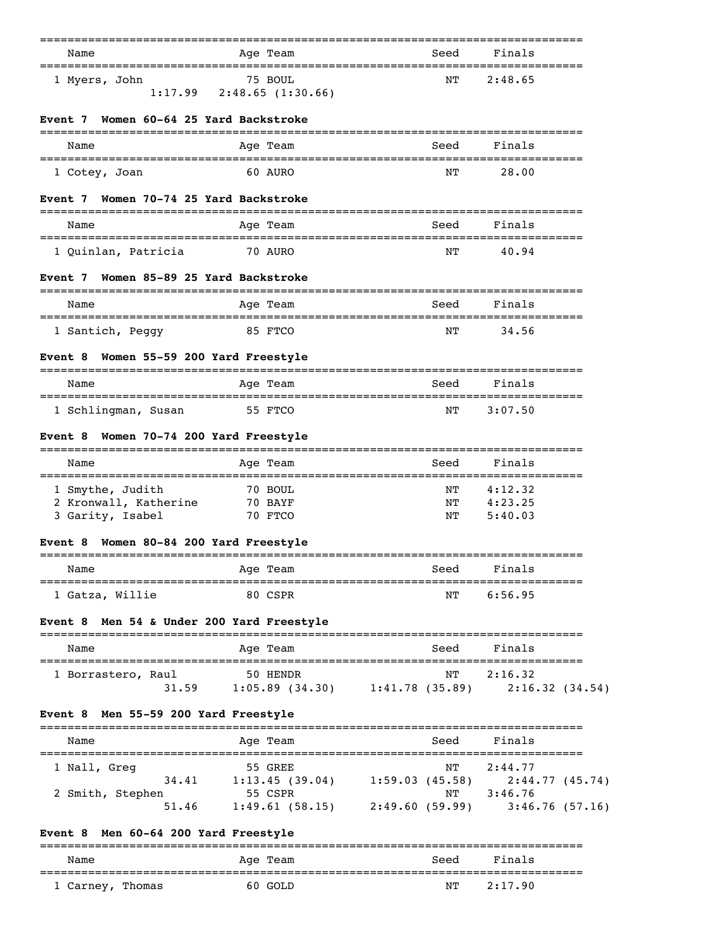| Name                                                   | Age Team                                                                    | Seed                                            | Finals             |
|--------------------------------------------------------|-----------------------------------------------------------------------------|-------------------------------------------------|--------------------|
| 1 Myers, John                                          | 75 BOUL<br>$1:17.99$ $2:48.65$ $(1:30.66)$                                  | ΝT                                              | 2:48.65            |
| Women 60-64 25 Yard Backstroke<br>Event 7              |                                                                             |                                                 |                    |
| Name                                                   | Age Team                                                                    | Seed                                            | Finals             |
| =====================================<br>1 Cotey, Joan | 60 AURO                                                                     | NΤ                                              | 28.00              |
| Women 70-74 25 Yard Backstroke<br>Event 7              |                                                                             |                                                 |                    |
| Name                                                   | Age Team                                                                    | Seed                                            | Finals             |
| 1 Quinlan, Patricia                                    | 70 AURO                                                                     | ΝT                                              | 40.94              |
| Women 85-89 25 Yard Backstroke<br>Event 7              |                                                                             |                                                 |                    |
| Name                                                   | Age Team                                                                    | Seed                                            | Finals             |
| 1 Santich, Peggy                                       | 85 FTCO                                                                     | NΤ                                              | 34.56              |
| Event 8 Women 55-59 200 Yard Freestyle                 |                                                                             |                                                 |                    |
| Name                                                   | Age Team                                                                    | Seed                                            | Finals             |
| 1 Schlingman, Susan                                    | 55 FTCO                                                                     | ΝT                                              | 3:07.50            |
| Women 70-74 200 Yard Freestyle<br>Event 8              |                                                                             |                                                 |                    |
| Name                                                   | Age Team                                                                    | Seed                                            | Finals             |
| 1 Smythe, Judith                                       | 70 BOUL                                                                     | ΝT                                              | 4:12.32            |
| 2 Kronwall, Katherine<br>3 Garity, Isabel              | 70 BAYF<br>70 FTCO                                                          | ΝT<br>ΝT                                        | 4:23.25<br>5:40.03 |
| Event 8 Women 80-84 200 Yard Freestyle                 |                                                                             |                                                 |                    |
| Name                                                   | Age Team                                                                    | Seed                                            | Finals             |
| 1 Gatza, Willie                                        | 80 CSPR                                                                     | NΤ                                              | 6:56.95            |
| Event 8 Men 54 & Under 200 Yard Freestyle              |                                                                             |                                                 |                    |
| Name                                                   | Age Team                                                                    | Seed                                            | Finals             |
| 1 Borrastero, Raul                                     | 50 HENDR                                                                    |                                                 | NT 2:16.32         |
|                                                        | 31.59 $1:05.89$ (34.30) $1:41.78$ (35.89)   2:16.32 (34.54)                 |                                                 |                    |
| Event 8 Men 55-59 200 Yard Freestyle                   |                                                                             |                                                 |                    |
| Name                                                   | Age Team                                                                    | Seed                                            | Finals             |
| 1 Nall, Greg                                           | 55 GREE                                                                     | ΝT                                              | 2:44.77            |
| 2 Smith, Stephen                                       | 34.41 1:13.45 (39.04) 1:59.03 (45.58) 2:44.77 (45.74)<br>55 CSPR NT 3:46.76 |                                                 |                    |
| 51.46                                                  |                                                                             | 1:49.61 (58.15) 2:49.60 (59.99) 3:46.76 (57.16) |                    |
| Event 8 Men 60-64 200 Yard Freestyle                   |                                                                             |                                                 |                    |
| Name                                                   | Age Team                                                                    | Seed                                            | Finals             |
| 1 Carney, Thomas                                       | 60 GOLD                                                                     | NΤ                                              | 2:17.90            |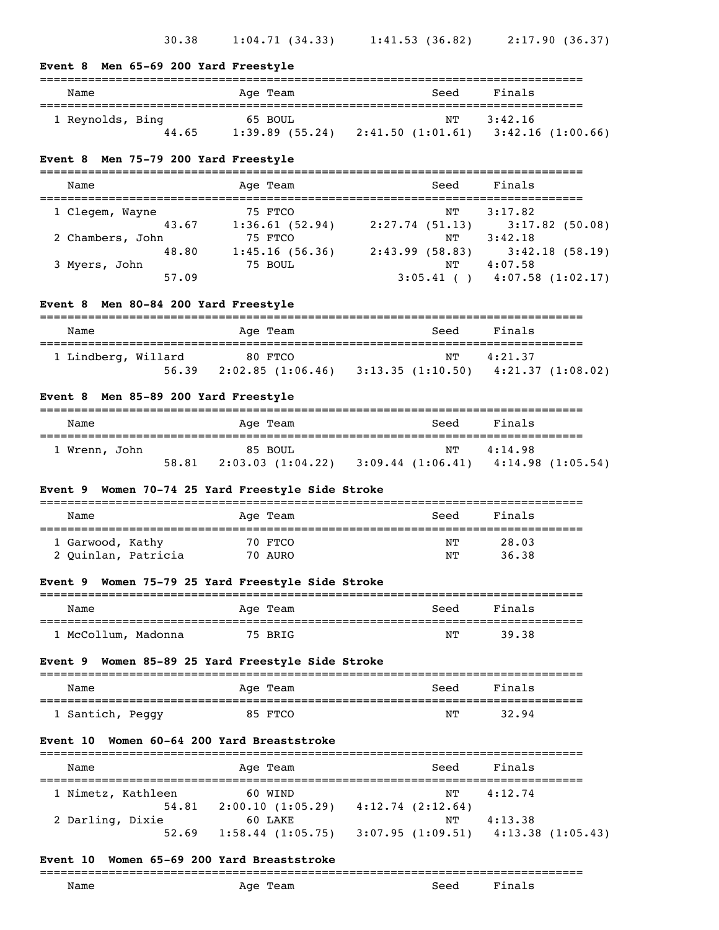| Name                                              | Age Team                                                                                    | Seed                  | Finals                            |
|---------------------------------------------------|---------------------------------------------------------------------------------------------|-----------------------|-----------------------------------|
| 1 Reynolds, Bing                                  | ==========<br>65 BOUL<br>44.65 1:39.89 (55.24) 2:41.50 (1:01.61) 3:42.16 (1:00.66)          | NΤ                    | 3:42.16                           |
| Event 8 Men 75-79 200 Yard Freestyle              |                                                                                             |                       |                                   |
| Name                                              | Age Team                                                                                    | Seed                  | Finals                            |
| 1 Clegem, Wayne                                   | 75 FTCO<br>43.67 1:36.61 (52.94) 2:27.74 (51.13) 3:17.82 (50.08)                            | NΤ                    | 3:17.82                           |
| 2 Chambers, John<br>48.80<br>3 Myers, John        | 75 FTCO<br>75 FTCO NT 3:42.18<br>1:45.16 (56.36) 2:43.99 (58.83) 3:42.18 (58.19)<br>75 BOUL |                       | NT 4:07.58                        |
| 57.09                                             |                                                                                             |                       | $3:05.41$ ( ) $4:07.58$ (1:02.17) |
| Men 80-84 200 Yard Freestyle<br>Event 8           |                                                                                             |                       |                                   |
| Name                                              | Age Team                                                                                    | Seed                  | Finals                            |
| 1 Lindberg, Willard 80 FTCO                       | 56.39 2:02.85 (1:06.46) 3:13.35 (1:10.50) 4:21.37 (1:08.02)                                 |                       | NT 4:21.37                        |
|                                                   |                                                                                             |                       |                                   |
| Event 8 Men 85-89 200 Yard Freestyle              |                                                                                             |                       |                                   |
| Name                                              | Age Team                                                                                    | Seed                  | Finals                            |
| 1 Wrenn, John                                     | 85 BOUL<br>58.81 2:03.03 (1:04.22) 3:09.44 (1:06.41) 4:14.98 (1:05.54)                      | NT                    | 4:14.98                           |
| Event 9 Women 70-74 25 Yard Freestyle Side Stroke |                                                                                             |                       |                                   |
| Name                                              | Age Team                                                                                    | Seed                  | Finals                            |
| 1 Garwood, Kathy<br>2 Quinlan, Patricia 70 AURO   | 70 FTCO                                                                                     | =========<br>ΝT<br>NΤ | 28.03<br>36.38                    |
| Event 9 Women 75-79 25 Yard Freestyle Side Stroke | -----------------------------------                                                         |                       |                                   |
| Name                                              | Age Team                                                                                    | Seed                  | Finals                            |
| =======================<br>1 McCollum, Madonna    | ============<br>75 BRIG                                                                     | NΤ                    | 39.38                             |
| Event 9                                           | Women 85-89 25 Yard Freestyle Side Stroke                                                   |                       |                                   |
| Name                                              | Age Team                                                                                    | Seed                  | Finals                            |

| Name               | Age Team            | Seed                                    | Finals  |
|--------------------|---------------------|-----------------------------------------|---------|
| 1 Nimetz, Kathleen | 60 WIND             | NT                                      | 4:12.74 |
| 54.81              | 2:00.10(1:05.29)    | 4:12.74(2:12.64)                        |         |
| 2 Darling, Dixie   | 60 LAKE             | NͲ                                      | 4:13.38 |
| 52.69              | $1:58.44$ (1:05.75) | $3:07.95$ (1:09.51) $4:13.38$ (1:05.43) |         |

# **Event 10 Women 65-69 200 Yard Breaststroke**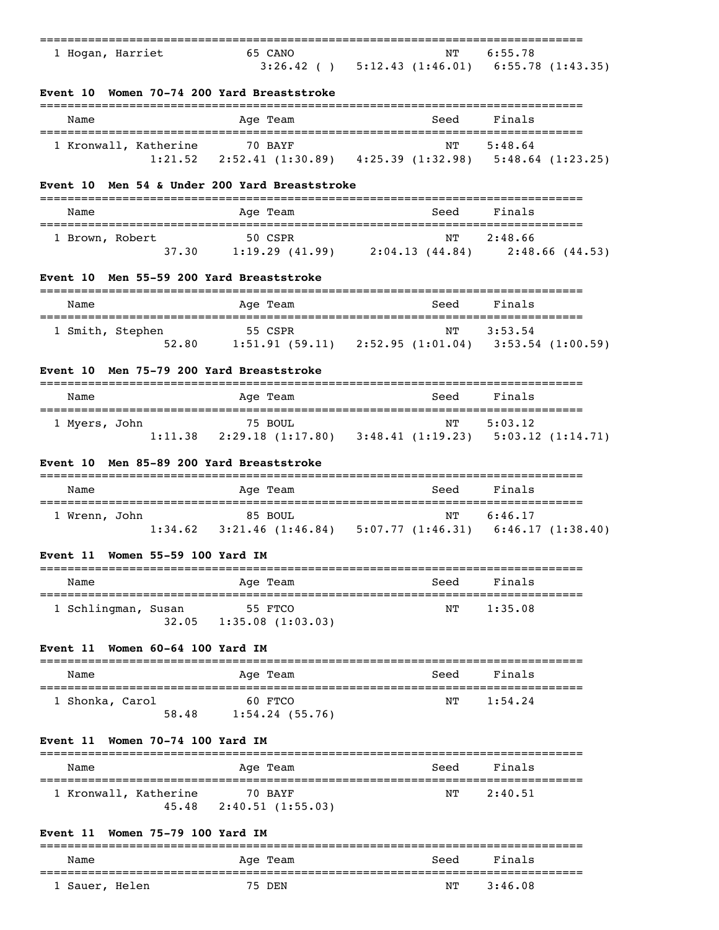| 1 Hogan, Harriet<br>Event 10 Women 70-74 200 Yard Breaststroke | 65 CANO                                  | $3:26.42$ ( ) $5:12.43$ $(1:46.01)$ $6:55.78$ $(1:43.35)$                                                                                         | NT 6:55.78            |
|----------------------------------------------------------------|------------------------------------------|---------------------------------------------------------------------------------------------------------------------------------------------------|-----------------------|
|                                                                |                                          |                                                                                                                                                   |                       |
|                                                                |                                          |                                                                                                                                                   |                       |
| Name                                                           | Age Team                                 | Seed                                                                                                                                              | Finals                |
| 1 Kronwall, Katherine 70 BAYF                                  |                                          | NΤ<br>1:21.52   2:52.41   (1:30.89)   4:25.39   (1:32.98)   5:48.64   (1:23.25)                                                                   | 5:48.64               |
| <b>Event</b> 10                                                | Men 54 & Under 200 Yard Breaststroke     |                                                                                                                                                   |                       |
| Name                                                           | Age Team                                 | Seed                                                                                                                                              | Finals                |
| 1 Brown, Robert                                                | 50 CSPR                                  | 37.30 1:19.29 (41.99) 2:04.13 (44.84) 2:48.66 (44.53)                                                                                             | NT 2:48.66            |
| Event 10 Men 55-59 200 Yard Breaststroke                       |                                          |                                                                                                                                                   |                       |
| Name                                                           | -------------<br>Age Team                | Seed                                                                                                                                              | Finals                |
| 1 Smith, Stephen                                               | <b>Example 155 CSPR</b>                  | $\begin{array}{ccccccccc} 55 & CSPR & & & & & NT & 3:53.54 \ 52.80 & & 1:51.91 & (59.11) & 2:52.95 & (1:01.04) & 3:53.54 & (1:00.59) \end{array}$ | NT 3:53.54            |
| Event 10 Men 75-79 200 Yard Breaststroke                       |                                          |                                                                                                                                                   |                       |
| Name                                                           | Age Team                                 | Seed                                                                                                                                              | Finals                |
| 1 Myers, John                                                  | 75 BOUL                                  | 1:11.38 2:29.18 (1:17.80) 3:48.41 (1:19.23) 5:03.12 (1:14.71)                                                                                     | NT 5:03.12            |
| Event 10 Men 85-89 200 Yard Breaststroke                       |                                          |                                                                                                                                                   |                       |
| Name                                                           | Age Team                                 | Seed                                                                                                                                              | Finals                |
| 1 Wrenn, John                                                  | <b>Example 185 BOUL</b>                  | 85 BOUL NT 6:46.1/<br>1:34.62 3:21.46 (1:46.84) 5:07.77 (1:46.31) 6:46.17 (1:38.40)                                                               | NT 6:46.17            |
| Event 11 Women 55-59 100 Yard IM                               | ---------                                |                                                                                                                                                   |                       |
| Name                                                           | Age Team                                 | Seed                                                                                                                                              | Finals                |
| =====================================<br>1 Schlingman, Susan   | 55 FTCO<br>$32.05$ 1:35.08 (1:03.03)     | NΤ                                                                                                                                                | 1:35.08               |
| <b>Women 60-64 100 Yard IM</b><br><b>Event 11</b>              |                                          |                                                                                                                                                   |                       |
| Name                                                           | Age Team                                 | Seed                                                                                                                                              | Finals                |
| 1 Shonka, Carol                                                | 60 FTCO<br>58.48 1:54.24 (55.76)         | NΤ                                                                                                                                                | 1:54.24               |
| Event 11 Women 70-74 100 Yard IM                               |                                          |                                                                                                                                                   |                       |
| Name                                                           | Age Team                                 | Seed                                                                                                                                              | Finals                |
| =====================================<br>1 Kronwall, Katherine | 70 BAYF<br>$45.48$ $2:40.51$ $(1:55.03)$ | ========================<br>ΝT                                                                                                                    | ==========<br>2:40.51 |
| <b>Women 75-79 100 Yard IM</b><br><b>Event</b> 11              |                                          |                                                                                                                                                   |                       |
| ____________________________________<br>Name                   | Age Team                                 | Seed                                                                                                                                              | Finals                |
| 1 Sauer, Helen                                                 | 75 DEN                                   | NΤ                                                                                                                                                | 3:46.08               |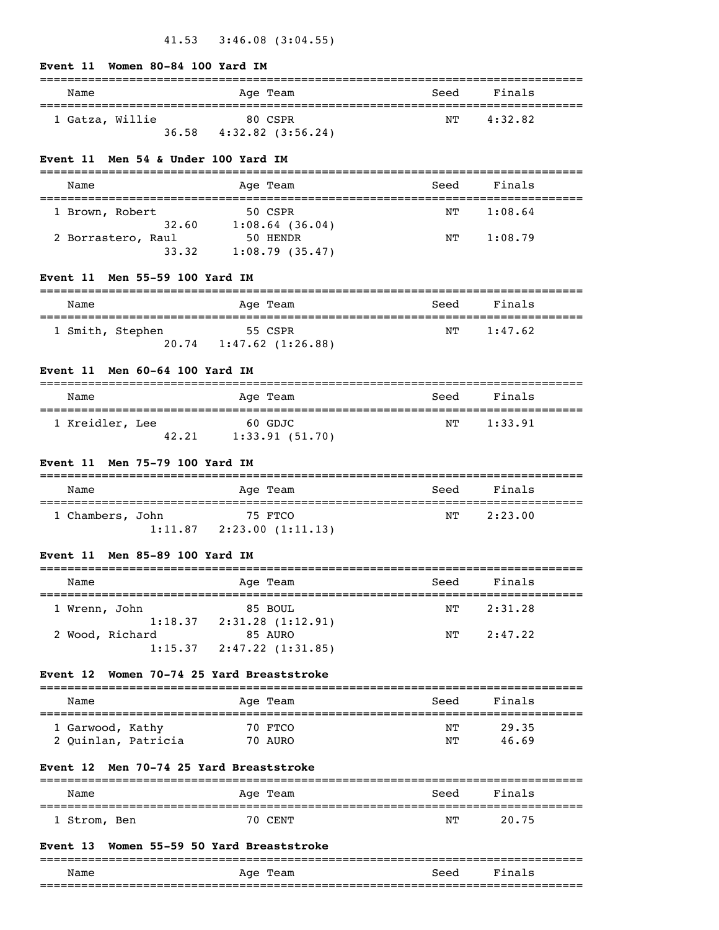|  | Event 11 Women 80-84 100 Yard IM |  |  |
|--|----------------------------------|--|--|
|  |                                  |  |  |

| Name            | Age Team                       | Seed | Finals  |
|-----------------|--------------------------------|------|---------|
| 1 Gatza, Willie | 80 CSPR                        | NТ   | 4:32.82 |
|                 | 36.58<br>$4:32.82$ $(3:56.24)$ |      |         |

### **Event 11 Men 54 & Under 100 Yard IM**

| Name               |       | Age Team          | Seed | Finals  |
|--------------------|-------|-------------------|------|---------|
|                    |       |                   |      |         |
| 1 Brown, Robert    |       | 50 CSPR           | NТ   | 1:08.64 |
|                    | 32.60 | $1:08.64$ (36.04) |      |         |
| 2 Borrastero, Raul |       | 50 HENDR          | NТ   | 1:08.79 |
|                    | 33.32 | 1:08.79(35.47)    |      |         |

# **Event 11 Men 55-59 100 Yard IM**

| Name             |       | Age Team              | Seed | Finals  |  |
|------------------|-------|-----------------------|------|---------|--|
| 1 Smith, Stephen |       | 55 CSPR               | NТ   | 1:47.62 |  |
|                  | 20.74 | $1:47.62$ $(1:26.88)$ |      |         |  |

# **Event 11 Men 60-64 100 Yard IM**

| Name            |       | Age Team       | Seed | Finals  |
|-----------------|-------|----------------|------|---------|
| 1 Kreidler, Lee |       | 60 GDJC        | NТ   | 1:33.91 |
|                 | 42.21 | 1:33.91(51.70) |      |         |

# **Event 11 Men 75-79 100 Yard IM**

| Name             |         | Age Team         | Seed | Finals  |
|------------------|---------|------------------|------|---------|
| 1 Chambers, John |         | 75 FTCO          | NТ   | 2:23.00 |
|                  | 1:11.87 | 2:23.00(1:11.13) |      |         |

# **Event 11 Men 85-89 100 Yard IM**

| Name                       | Age Team                    | Seed | Finals  |  |
|----------------------------|-----------------------------|------|---------|--|
| 1 Wrenn, John              | 85 BOUL                     | NТ   | 2:31.28 |  |
| 1:18.37<br>2 Wood, Richard | 2:31.28(1:12.91)<br>85 AURO | NТ   | 2:47.22 |  |
| 1:15.37                    | 2:47.22 (1:31.85)           |      |         |  |

# **Event 12 Women 70-74 25 Yard Breaststroke**

| Name                                    |  | Age Team           | Seed     | Finals         |
|-----------------------------------------|--|--------------------|----------|----------------|
| 1 Garwood, Kathy<br>2 Ouinlan, Patricia |  | 70 FTCO<br>70 AURO | NΤ<br>NΤ | 29.35<br>46.69 |

# **Event 12 Men 70-74 25 Yard Breaststroke**

| Name         | Age Team | Seed | Finals |  |
|--------------|----------|------|--------|--|
| . Strom, Ben | 70 CENT  | NΤ   | 20.75  |  |

### **Event 13 Women 55-59 50 Yard Breaststroke**

|      |             |                   | ___<br>___ |
|------|-------------|-------------------|------------|
| Name | Aqe<br>ream | Seec              |            |
|      |             | _________________ | ___<br>--- |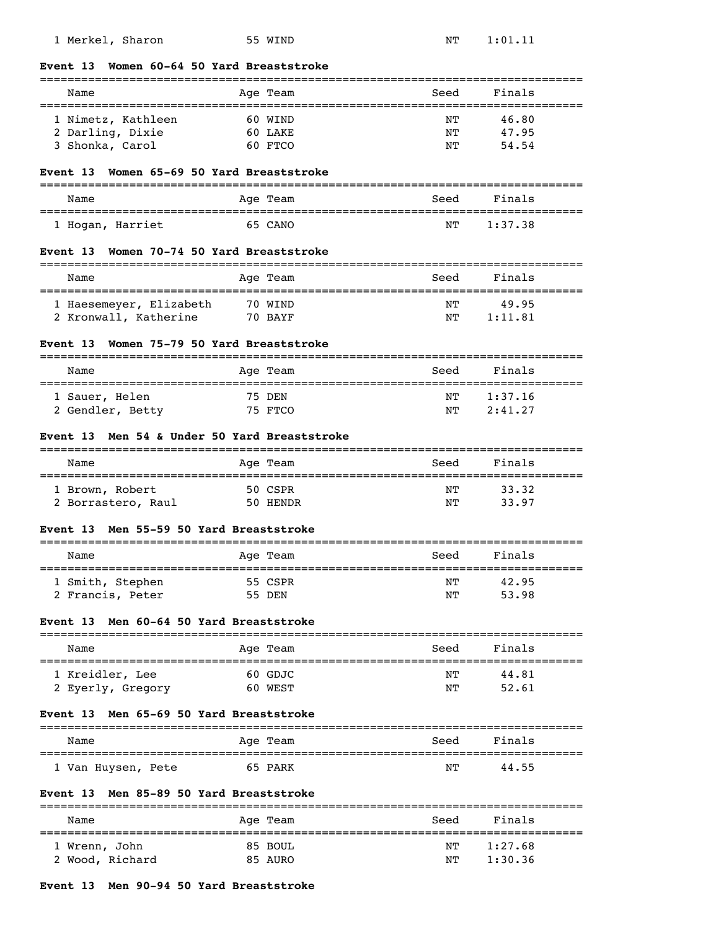| Name                                            |         | Age Team | Seed<br>==========================            | Finals  |
|-------------------------------------------------|---------|----------|-----------------------------------------------|---------|
| 1 Nimetz, Kathleen                              |         | 60 WIND  | NΤ                                            | 46.80   |
| 2 Darling, Dixie                                |         | 60 LAKE  | ΝT                                            | 47.95   |
| 3 Shonka, Carol                                 |         | 60 FTCO  | ΝT                                            | 54.54   |
| Women 65-69 50 Yard Breaststroke<br>Event 13    |         |          |                                               |         |
| Name                                            |         | Age Team | Seed                                          | Finals  |
| 1 Hogan, Harriet                                |         | 65 CANO  | NΤ                                            | 1:37.38 |
| Women 70-74 50 Yard Breaststroke<br>Event 13    |         |          |                                               |         |
| Name                                            |         | Age Team | Seed                                          | Finals  |
| 1 Haesemeyer, Elizabeth                         |         | 70 WIND  | NΤ                                            | 49.95   |
| 2 Kronwall, Katherine                           | 70 BAYF |          | NΤ                                            | 1:11.81 |
| Women 75-79 50 Yard Breaststroke<br>Event 13    |         |          |                                               |         |
| Name<br>=====================================   |         | Age Team | Seed<br>===================================== | Finals  |
| 1 Sauer, Helen                                  | 75 DEN  |          | NΤ                                            | 1:37.16 |
| 2 Gendler, Betty                                |         | 75 FTCO  | ΝT                                            | 2:41.27 |
| Men 54 & Under 50 Yard Breaststroke<br>Event 13 |         |          |                                               |         |
| Name                                            |         | Age Team | Seed                                          |         |
|                                                 |         |          |                                               | Finals  |
| 1 Brown, Robert                                 |         | 50 CSPR  | NΤ                                            | 33.32   |
| 2 Borrastero, Raul                              |         | 50 HENDR | NΤ                                            | 33.97   |
| Men 55-59 50 Yard Breaststroke<br>Event 13      |         |          |                                               |         |
| Name                                            |         | Age Team | Seed                                          | Finals  |
| 1 Smith, Stephen                                |         | 55 CSPR  | $\rm{N}\rm{T}$                                | 42.95   |
| 2 Francis, Peter                                |         | 55 DEN   | NΤ                                            | 53.98   |
| Men 60-64 50 Yard Breaststroke<br>Event 13      |         |          |                                               |         |
| Name                                            |         | Age Team | Seed                                          | Finals  |
| 1 Kreidler, Lee                                 |         | 60 GDJC  | NΤ                                            | 44.81   |
| 2 Eyerly, Gregory                               |         | 60 WEST  | ΝT                                            | 52.61   |
| Men 65-69 50 Yard Breaststroke<br>Event 13      |         |          |                                               |         |
| Name                                            |         | Age Team | Seed                                          | Finals  |
| 1 Van Huysen, Pete                              |         | 65 PARK  | NΤ                                            | 44.55   |
| Men 85-89 50 Yard Breaststroke<br>Event 13      |         |          |                                               |         |

# 1 Wrenn, John 85 BOUL 1 NT 1:27.68 2 Wood, Richard 85 AURO NT 1:30.36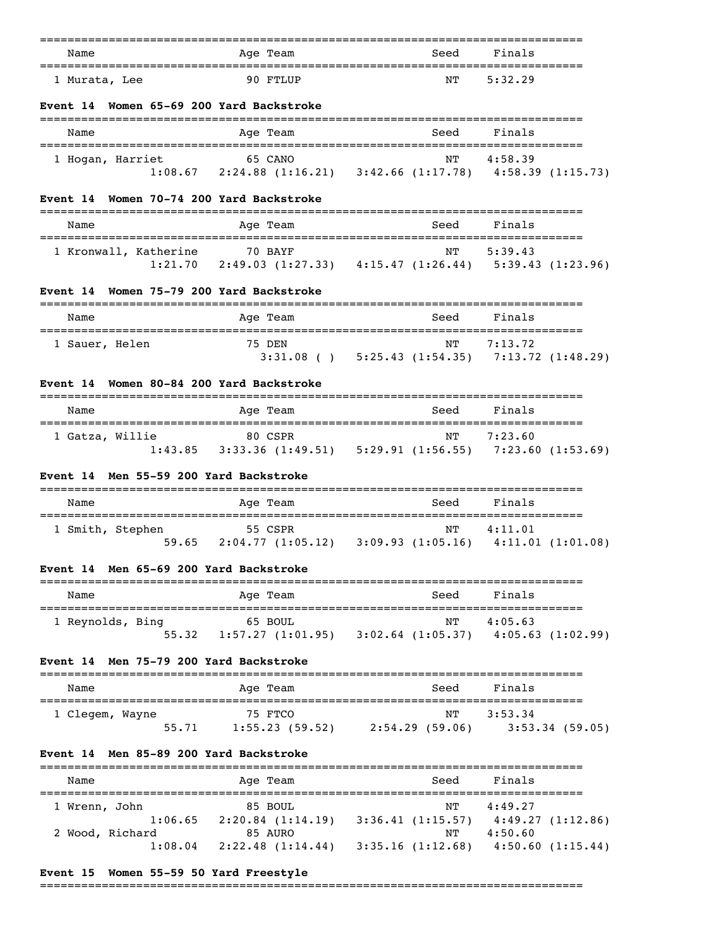| Name          |  | Age Team     | Seed | Finals  |
|---------------|--|--------------|------|---------|
| 1 Murata, Lee |  | $90$ $FTJJP$ | NΤ   | 5:32.29 |

### **Event 14 Women 65-69 200 Yard Backstroke**

| Name                        | Age Team                                                               | Seed | Finals  |
|-----------------------------|------------------------------------------------------------------------|------|---------|
| 1 Hogan, Harriet<br>1:08.67 | 65 CANO<br>$2:24.88$ (1:16.21) $3:42.66$ (1:17.78) $4:58.39$ (1:15.73) | NТ   | 4:58.39 |

### **Event 14 Women 70-74 200 Yard Backstroke**

| Name                  | Age Team          | Seed             | Finals            |
|-----------------------|-------------------|------------------|-------------------|
| 1 Kronwall, Katherine | 70 BAYF           | NТ               | 5:39.43           |
| 1:21.70               | 2:49.03 (1:27.33) | 4:15.47(1:26.44) | 5:39.43 (1:23.96) |

# **Event 14 Women 75-79 200 Yard Backstroke**

| Name           | Age Team    | Seed | Finals                                |
|----------------|-------------|------|---------------------------------------|
|                |             |      |                                       |
| 1 Sauer, Helen | 75 DEN      | NТ   | 7:13.72                               |
|                | $3:31.08$ ( |      | $5:25.43$ (1:54.35) 7:13.72 (1:48.29) |

# **Event 14 Women 80-84 200 Yard Backstroke**

| Name            |         | Age Team                     | Seed | Finals                                           |
|-----------------|---------|------------------------------|------|--------------------------------------------------|
| 1 Gatza, Willie | 1:43.85 | 80 CSPR<br>3:33.36 (1:49.51) | NТ   | 7:23.60<br>$5:29.91(1:56.55)$ $7:23.60(1:53.69)$ |

# **Event 14 Men 55-59 200 Yard Backstroke**

| Name             |       |  | Age Team                    |  | Seed                                              | Finals  |  |
|------------------|-------|--|-----------------------------|--|---------------------------------------------------|---------|--|
| 1 Smith, Stephen | 59.65 |  | 55 CSPR<br>2:04.77(1:05.12) |  | NТ<br>$3:09.93$ $(1:05.16)$ $4:11.01$ $(1:01.08)$ | 4:11.01 |  |

# **Event 14 Men 65-69 200 Yard Backstroke**

| Name             |       | Age Team                    | Seed                                          | Finals  |  |
|------------------|-------|-----------------------------|-----------------------------------------------|---------|--|
| 1 Reynolds, Bing | 55.32 | 65 BOUL<br>1:57.27(1:01.95) | NТ<br>$3:02.64$ (1:05.37) $4:05.63$ (1:02.99) | 4:05.63 |  |

### **Event 14 Men 75-79 200 Yard Backstroke**

| Name            | Age Team       | Seed           | Finals            |
|-----------------|----------------|----------------|-------------------|
| 1 Clegem, Wayne | 75 FTCO        | NТ             | 3:53.34           |
| 55.71           | 1:55.23(59.52) | 2:54.29(59.06) | $3:53.34$ (59.05) |

### **Event 14 Men 85-89 200 Yard Backstroke**

| Name            | Age Team          | Seed             | Finals           |
|-----------------|-------------------|------------------|------------------|
|                 |                   |                  |                  |
| 1 Wrenn, John   | 85 BOUL           | NТ               | 4:49.27          |
| 1:06.65         | 2:20.84(1:14.19)  | 3:36.41(1:15.57) | 4:49.27(1:12.86) |
| 2 Wood, Richard | 85 AURO           | NΤ               | 4:50.60          |
| 1:08.04         | 2:22.48 (1:14.44) | 3:35.16(1:12.68) | 4:50.60(1:15.44) |

# **Event 15 Women 55-59 50 Yard Freestyle**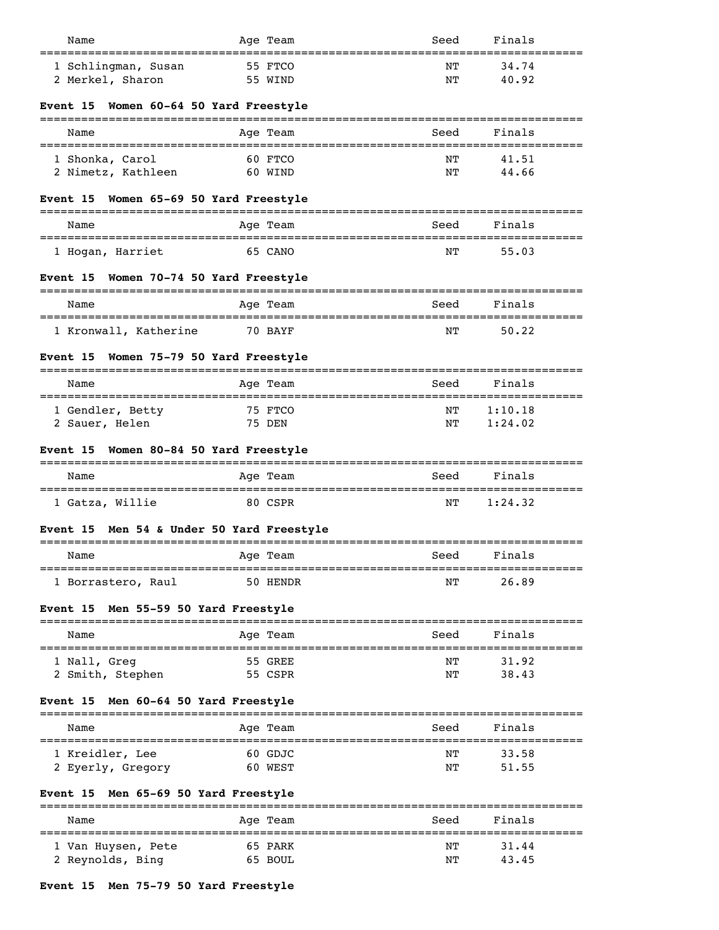| Name                                             | Age Team                | Seed     | Finals                  |
|--------------------------------------------------|-------------------------|----------|-------------------------|
| 1 Schlingman, Susan<br>2 Merkel, Sharon          | 55 FTCO<br>55 WIND      | NΤ<br>NΤ | 34.74<br>40.92          |
| Women 60-64 50 Yard Freestyle<br>Event 15        |                         |          |                         |
| Name                                             | Age Team                | Seed     | Finals                  |
| 1 Shonka, Carol<br>2 Nimetz, Kathleen            | 60 FTCO<br>60 WIND      | NΤ<br>NΤ | 41.51<br>44.66          |
| Women 65-69 50 Yard Freestyle<br>Event 15        |                         |          |                         |
| Name                                             | Age Team                | Seed     | Finals                  |
| 1 Hogan, Harriet                                 | 65 CANO                 | ΝT       | 55.03                   |
| Women 70-74 50 Yard Freestyle<br><b>Event 15</b> |                         |          |                         |
| Name                                             | -----------<br>Age Team | Seed     | Finals                  |
| 1 Kronwall, Katherine                            | 70 BAYF                 | ΝT       | 50.22                   |
| Women 75-79 50 Yard Freestyle<br>Event 15        |                         |          |                         |
| Name                                             | Age Team                | Seed     | Finals                  |
| 1 Gendler, Betty<br>2 Sauer, Helen               | 75 FTCO<br>75 DEN       | NΤ<br>NΤ | 1:10.18<br>1:24.02      |
| Women 80-84 50 Yard Freestyle<br><b>Event 15</b> |                         |          |                         |
| Name                                             | Age Team                | Seed     | Finals                  |
| 1 Gatza, Willie                                  | 80 CSPR                 | NΤ       | 1:24.32                 |
| Event 15 Men 54 & Under 50 Yard Freestyle        |                         |          |                         |
| Name                                             | Age Team                | Seed     | Finals                  |
| 1 Borrastero, Raul                               | 50 HENDR                | NΤ       | ============<br>26.89   |
| Men 55-59 50 Yard Freestyle<br><b>Event 15</b>   |                         |          |                         |
| Name                                             | Age Team                | Seed     | -------------<br>Finals |
| 1 Nall, Greg<br>2 Smith, Stephen                 | 55 GREE<br>55 CSPR      | NΤ<br>ΝT | 31.92<br>38.43          |
| Men 60-64 50 Yard Freestyle<br>Event 15          |                         |          |                         |
| Name                                             | Age Team                | Seed     | Finals                  |
| 1 Kreidler, Lee                                  | 60 GDJC                 | NΤ       | 33.58                   |
| 2 Eyerly, Gregory                                | 60 WEST                 | NΤ       | 51.55                   |
| Men 65-69 50 Yard Freestyle<br><b>Event 15</b>   |                         |          |                         |
| Name                                             | Age Team                | Seed     | Finals                  |
| 1 Van Huysen, Pete<br>2 Reynolds, Bing           | 65 PARK<br>65 BOUL      | NΤ<br>NΤ | 31.44<br>43.45          |

# **Event 15 Men 75-79 50 Yard Freestyle**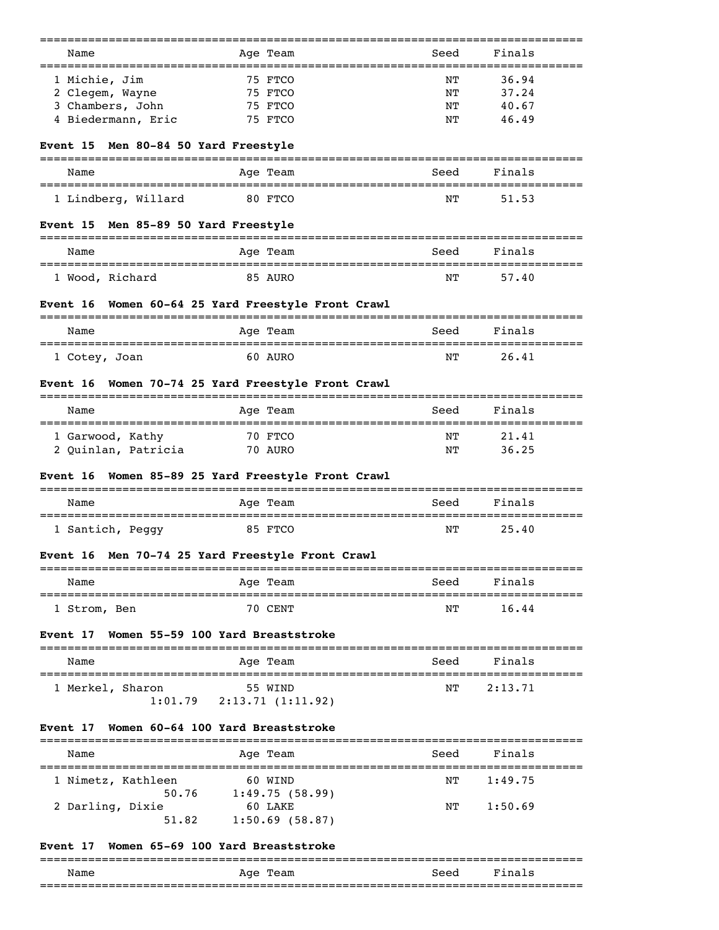| Name                                                         | Age Team                                      | Seed | Finals  |
|--------------------------------------------------------------|-----------------------------------------------|------|---------|
| 1 Michie, Jim                                                | 75 FTCO                                       | ΝT   | 36.94   |
| 2 Clegem, Wayne                                              | 75 FTCO                                       | NΤ   | 37.24   |
| 3 Chambers, John                                             | 75 FTCO                                       | NΤ   | 40.67   |
| 4 Biedermann, Eric                                           | 75 FTCO                                       | NΤ   | 46.49   |
| Event 15 Men 80-84 50 Yard Freestyle                         |                                               |      |         |
| Name                                                         | Age Team                                      | Seed | Finals  |
| 1 Lindberg, Willard                                          | 80 FTCO                                       | NΤ   | 51.53   |
|                                                              |                                               |      |         |
| Event 15 Men 85-89 50 Yard Freestyle                         |                                               |      |         |
| Name                                                         | Age Team                                      | Seed | Finals  |
| 1 Wood, Richard                                              | 85 AURO                                       | NΤ   | 57.40   |
| Women 60-64 25 Yard Freestyle Front Crawl<br><b>Event</b> 16 |                                               |      |         |
| =================================<br>Name                    | Age Team                                      | Seed | Finals  |
| 1 Cotey, Joan                                                | 60 AURO                                       | NΤ   | 26.41   |
| Women 70-74 25 Yard Freestyle Front Crawl<br><b>Event</b> 16 |                                               |      |         |
| Name                                                         | Age Team                                      | Seed | Finals  |
|                                                              |                                               |      |         |
| 1 Garwood, Kathy                                             | 70 FTCO                                       | NΤ   | 21.41   |
| 2 Quinlan, Patricia                                          | 70 AURO                                       | NΤ   | 36.25   |
| Women 85-89 25 Yard Freestyle Front Crawl<br><b>Event</b> 16 |                                               |      |         |
| Name                                                         | =================================<br>Age Team | Seed | Finals  |
| 1 Santich, Peggy                                             | 85 FTCO                                       | NΤ   | 25.40   |
| Event 16 Men 70-74 25 Yard Freestyle Front Crawl             |                                               |      |         |
| ===================<br>Name                                  | Age Team                                      | Seed | Finals  |
| ===============================                              |                                               |      |         |
| 1 Strom, Ben                                                 | =============================<br>70 CENT      | NΤ   | 16.44   |
| Women 55-59 100 Yard Breaststroke                            |                                               |      |         |
| Name                                                         | Age Team                                      | Seed | Finals  |
|                                                              |                                               |      |         |
| 1 Merkel, Sharon<br>$1:01.79$ 2:13.71 (1:11.92)              | 55 WIND                                       | NΤ   | 2:13.71 |
| Women 60-64 100 Yard Breaststroke                            |                                               |      |         |
| <b>Event</b> 17<br>Event 17<br>Name                          | Age Team                                      | Seed | Finals  |
| 1 Nimetz, Kathleen                                           | 60 WIND                                       | NΤ   | 1:49.75 |
| 50.76                                                        | 1:49.75(58.99)                                |      |         |
| 2 Darling, Dixie<br>51.82                                    | 60 LAKE                                       | ΝT   | 1:50.69 |

# **Event 17 Women 65-69 100 Yard Breaststroke**

|      |                  |      | ___  |
|------|------------------|------|------|
| Name | Team<br>ഫ<br>ny. | Seed |      |
|      |                  |      | ____ |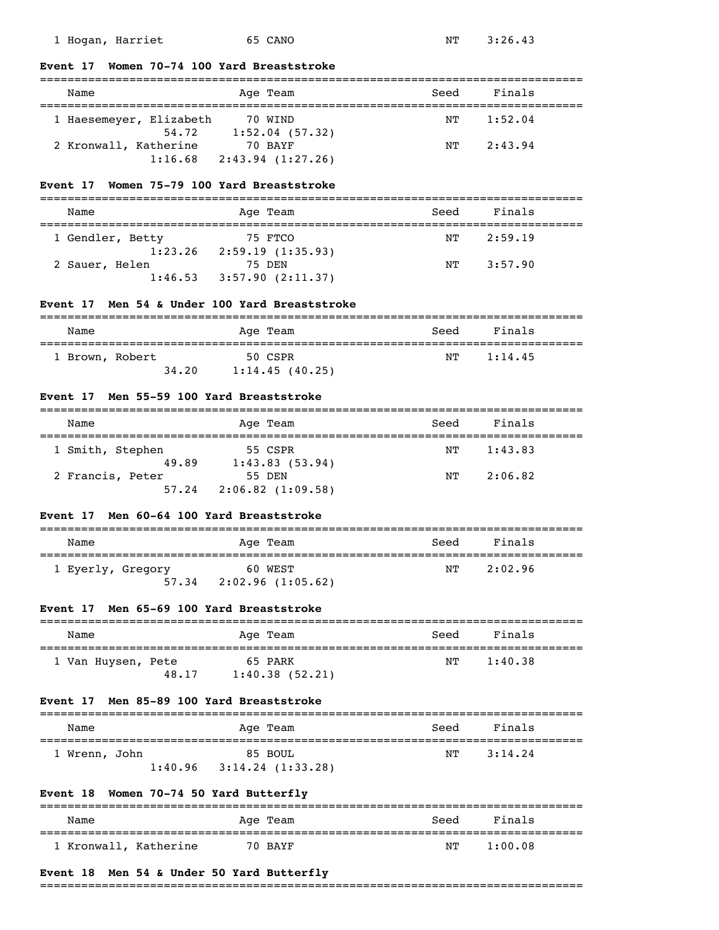1:16.68 2:43.94 (1:27.26)

#### **Event 17 Women 70-74 100 Yard Breaststroke**

# =============================================================================== Name **Age Team** Age Team Seed Finals =============================================================================== 1 Haesemeyer, Elizabeth 70 WIND 1:52.04 54.72 1:52.04 (57.32) 2 Kronwall, Katherine 70 BAYF 12:43.94

### **Event 17 Women 75-79 100 Yard Breaststroke**

| Name             | Age Team          | Seed | Finals  |  |
|------------------|-------------------|------|---------|--|
|                  |                   |      |         |  |
| 1 Gendler, Betty | 75 FTCO           | NТ   | 2:59.19 |  |
| 1:23.26          | 2:59.19(1:35.93)  |      |         |  |
| 2 Sauer, Helen   | 75 DEN            | NΤ   | 3:57.90 |  |
| 1:46.53          | 3:57.90 (2:11.37) |      |         |  |

### **Event 17 Men 54 & Under 100 Yard Breaststroke**

| Name            |       | Seed<br>Age Team | Finals  |
|-----------------|-------|------------------|---------|
| 1 Brown, Robert |       | NТ<br>50 CSPR    | 1:14.45 |
|                 | 34,20 | 1:14.45(40.25)   |         |

### **Event 17 Men 55-59 100 Yard Breaststroke**

| Name             | Age Team         | Seed | Finals  |  |
|------------------|------------------|------|---------|--|
| 1 Smith, Stephen | 55 CSPR          | NΤ   | 1:43.83 |  |
| 49.89            | 1:43.83(53.94)   |      |         |  |
| 2 Francis, Peter | 55 DEN           | NΤ   | 2:06.82 |  |
| 57.24            | 2:06.82(1:09.58) |      |         |  |

# **Event 17 Men 60-64 100 Yard Breaststroke**

| Name                       | Age Team                    | Seed | Finals  |  |
|----------------------------|-----------------------------|------|---------|--|
| 1 Eyerly, Gregory<br>57.34 | 60 WEST<br>2:02.96(1:05.62) | NТ   | 2:02.96 |  |

# **Event 17 Men 65-69 100 Yard Breaststroke**

| Name               |       | Age Team       | Seed | Finals  |
|--------------------|-------|----------------|------|---------|
| 1 Van Huysen, Pete |       | 65 PARK        | NͲ   | 1:40.38 |
|                    | 48.17 | 1:40.38(52.21) |      |         |

### **Event 17 Men 85-89 100 Yard Breaststroke**

| Name |             |         | Age Team         | Seed | Finals  |
|------|-------------|---------|------------------|------|---------|
|      | Wrenn, John |         | 85 BOUL          | NТ   | 3:14.24 |
|      |             | 1:40.96 | 3:14.24(1:33.28) |      |         |

# **Event 18 Women 70-74 50 Yard Butterfly**

| Name                  | Age Team | Seed | Finals  |
|-----------------------|----------|------|---------|
| 1 Kronwall, Katherine | 70 BAYF  | NΤ   | 1:00.08 |

### **Event 18 Men 54 & Under 50 Yard Butterfly**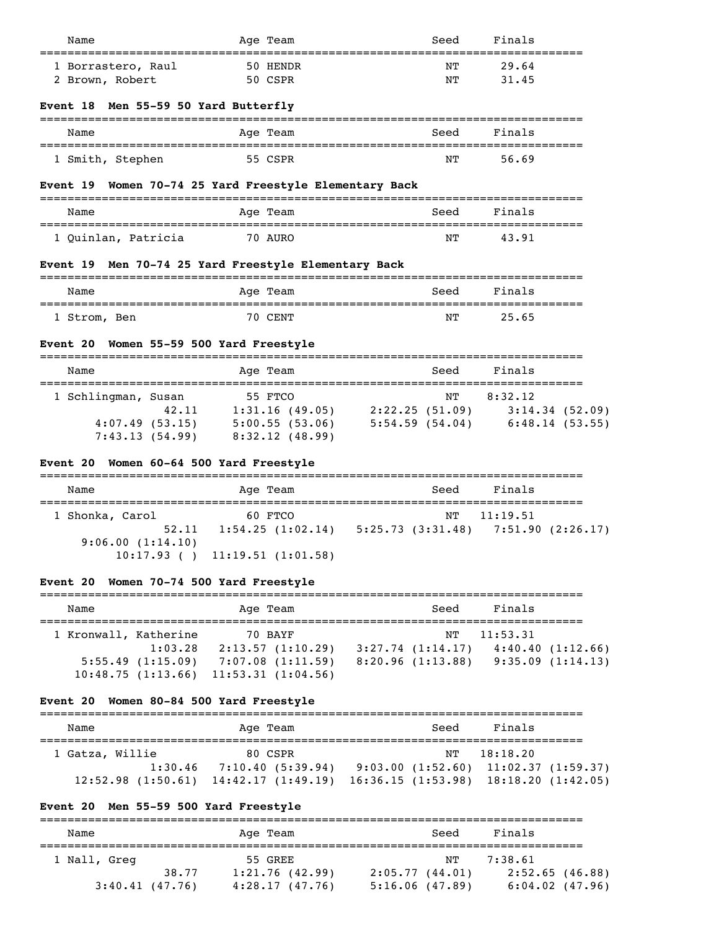| Name                                                   | Age Team                                                        | Seed                                   | Finals           |  |
|--------------------------------------------------------|-----------------------------------------------------------------|----------------------------------------|------------------|--|
| 1 Borrastero, Raul                                     | 50 HENDR                                                        | NΤ                                     | 29.64            |  |
| 2 Brown, Robert                                        | 50 CSPR                                                         | NΤ                                     | 31.45            |  |
| Event 18 Men 55-59 50 Yard Butterfly                   |                                                                 |                                        |                  |  |
| Name                                                   | Age Team                                                        | Seed                                   | Finals           |  |
| 1 Smith, Stephen                                       | 55 CSPR                                                         | NΤ                                     | 56.69            |  |
| Event 19 Women 70-74 25 Yard Freestyle Elementary Back |                                                                 |                                        |                  |  |
| Name<br>====================================           | Age Team                                                        | Seed<br>______________________________ | Finals           |  |
| 1 Quinlan, Patricia                                    | 70 AURO                                                         | NΤ                                     | 43.91            |  |
| Event 19 Men 70-74 25 Yard Freestyle Elementary Back   |                                                                 |                                        |                  |  |
| Name                                                   | Age Team                                                        | Seed                                   | Finals           |  |
| 1 Strom, Ben                                           | 70 CENT                                                         | NΤ                                     | 25.65            |  |
| <b>Event 20</b>                                        | Women 55-59 500 Yard Freestyle                                  |                                        |                  |  |
| Name                                                   | Age Team                                                        | Seed                                   | Finals           |  |
| 1 Schlingman, Susan                                    | 55 FTCO                                                         | NT                                     | 8:32.12          |  |
|                                                        | 42.11 1:31.16 (49.05) 2:22.25 (51.09) 3:14.34 (52.09)           |                                        |                  |  |
|                                                        | 4:07.49 (53.15) 5:00.55 (53.06) 5:54.59 (54.04) 6:48.14 (53.55) |                                        |                  |  |
|                                                        | $7:43.13(54.99)$ $8:32.12(48.99)$                               |                                        |                  |  |
| Event 20 Women 60-64 500 Yard Freestyle                |                                                                 |                                        |                  |  |
| Name                                                   | Age Team                                                        | Seed                                   | Finals           |  |
| 1 Shonka, Carol                                        | 60 FTCO                                                         | NΤ                                     | 11:19.51         |  |
| 52.11<br>9:06.00(1:14.10)                              | 1:54.25(1:02.14) 5:25.73(3:31.48)                               |                                        | 7:51.90(2:26.17) |  |
|                                                        | $10:17.93$ ( ) $11:19.51$ (1:01.58)                             |                                        |                  |  |

# **Event 20 Women 70-74 500 Yard Freestyle**

| Name                  |                                                  | Age Team                                                                  | Seed                                            | Finals   |                                      |
|-----------------------|--------------------------------------------------|---------------------------------------------------------------------------|-------------------------------------------------|----------|--------------------------------------|
| 1 Kronwall, Katherine | 1:03.28<br>5:55.49(1:15.09)<br>10:48.75(1:13.66) | 70 BAYF<br>2:13.57(1:10.29)<br>7:07.08(1:11.59)<br>$11:53.31$ $(1:04.56)$ | NT<br>$3:27.74$ $(1:14.17)$<br>8:20.96(1:13.88) | 11:53.31 | 4:40.40(1:12.66)<br>9:35.09(1:14.13) |

# **Event 20 Women 80-84 500 Yard Freestyle**

| Name            | Age Team                                                                                    | Seed | Finals                            |
|-----------------|---------------------------------------------------------------------------------------------|------|-----------------------------------|
| 1 Gatza, Willie | 80 CSPR                                                                                     | NT   | 18:18.20                          |
|                 | $1:30.46$ $7:10.40$ $(5:39.94)$                                                             |      | 9:03.00(1:52.60)11:02.37(1:59.37) |
|                 | $12:52.98$ $(1:50.61)$ $14:42.17$ $(1:49.19)$ $16:36.15$ $(1:53.98)$ $18:18.20$ $(1:42.05)$ |      |                                   |

# **Event 20 Men 55-59 500 Yard Freestyle**

| Name           |       | Age Team       |                | Seed | Finals              |  |
|----------------|-------|----------------|----------------|------|---------------------|--|
| 1 Nall, Greg   |       | 55 GREE        |                | NТ   | 7:38.61             |  |
|                | 38.77 | 1:21.76(42.99) | 2:05.77(44.01) |      | 2:52.65(46.88)      |  |
| 3:40.41(47.76) |       | 4:28.17(47.76) | 5:16.06(47.89) |      | $6:04.02$ $(47.96)$ |  |